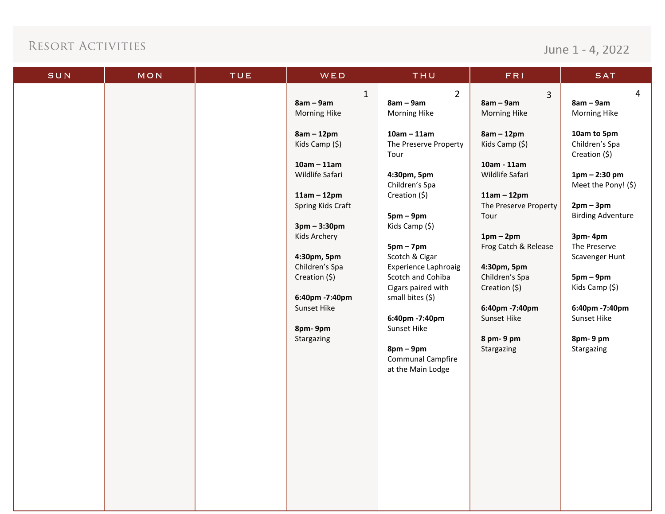June 1 - 4, 2022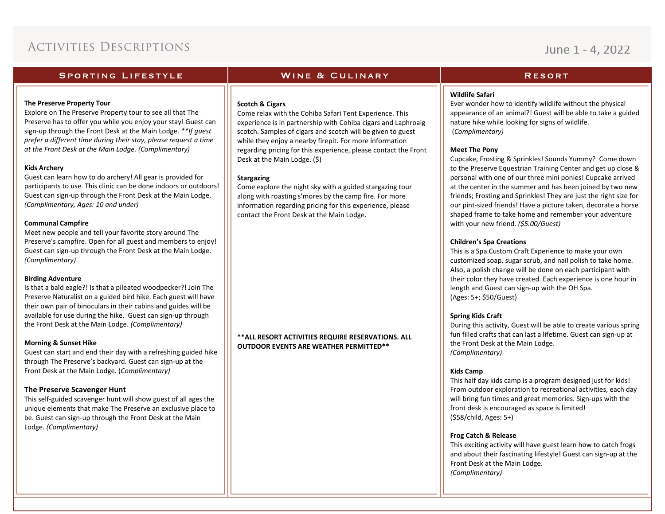## June 1 - 4, 2022

### **SPORTING LIFESTYLE**

### **WINE & CULINARY**

### **RESORT**

### **The Preserve Property Tour**

Explore on The Preserve Property tour to see all that The Preserve has to offer you while you enjoy your stay! Guest can sign-up through the Front Desk at the Main Lodge. *\*\*If guest prefer a different time during their stay, please request a time at the Front Desk at the Main Lodge. (Complimentary)* 

### **Kids Archery**

Guest can learn how to do archery! All gear is provided for participants to use. This clinic can be done indoors or outdoors! Guest can sign-up through the Front Desk at the Main Lodge. *(Complimentary, Ages: 10 and under)*

### **Communal Campfire**

Meet new people and tell your favorite story around The Preserve's campfire. Open for all guest and members to enjoy! Guest can sign-up through the Front Desk at the Main Lodge. *(Complimentary)*

### **Birding Adventure**

Is that a bald eagle?! Is that a pileated woodpecker?! Join The Preserve Naturalist on a guided bird hike. Each guest will have their own pair of binoculars in their cabins and guides will be available for use during the hike. Guest can sign-up through the Front Desk at the Main Lodge. *(Complimentary)*

### **Morning & Sunset Hike**

Guest can start and end their day with a refreshing guided hike through The Preserve's backyard. Guest can sign-up at the Front Desk at the Main Lodge. (*Complimentary)*

### **The Preserve Scavenger Hunt**

This self-guided scavenger hunt will show guest of all ages the unique elements that make The Preserve an exclusive place to be. Guest can sign-up through the Front Desk at the Main Lodge. *(Complimentary)*

### **Scotch & Cigars**

Come relax with the Cohiba Safari Tent Experience. This experience is in partnership with Cohiba cigars and Laphroaig scotch. Samples of cigars and scotch will be given to guest while they enjoy a nearby firepit. For more information regarding pricing for this experience, please contact the Front Desk at the Main Lodge. (\$)

### **Stargazing**

Come explore the night sky with a guided stargazing tour along with roasting s'mores by the camp fire. For more information regarding pricing for this experience, please contact the Front Desk at the Main Lodge.

**\*\*ALL RESORT ACTIVITIES REQUIRE RESERVATIONS. ALL OUTDOOR EVENTS ARE WEATHER PERMITTED\*\***

### **Wildlife Safari**

Ever wonder how to identify wildlife without the physical appearance of an animal?! Guest will be able to take a guided nature hike while looking for signs of wildlife. (*Complimentary)*

### **Meet The Pony**

Cupcake, Frosting & Sprinkles! Sounds Yummy? Come down to the Preserve Equestrian Training Center and get up close & personal with one of our three mini ponies! Cupcake arrived at the center in the summer and has been joined by two new friends; Frosting and Sprinkles! They are just the right size for our pint-sized friends! Have a picture taken, decorate a horse shaped frame to take home and remember your adventure with your new friend. *(\$5.00/Guest)*

### **Children's Spa Creations**

This is a Spa Custom Craft Experience to make your own customized soap, sugar scrub, and nail polish to take home. Also, a polish change will be done on each participant with their color they have created. Each experience is one hour in length and Guest can sign-up with the OH Spa. (Ages: 5+; \$50/Guest)

### **Spring Kids Craft**

During this activity, Guest will be able to create various spring fun filled crafts that can last a lifetime. Guest can sign-up at the Front Desk at the Main Lodge. *(Complimentary)*

### **Kids Camp**

This half day kids camp is a program designed just for kids! From outdoor exploration to recreational activities, each day will bring fun times and great memories. Sign-ups with the front desk is encouraged as space is limited! (\$58/child, Ages: 5+)

### **Frog Catch & Release**

This exciting activity will have guest learn how to catch frogs and about their fascinating lifestyle! Guest can sign-up at the Front Desk at the Main Lodge. *(Complimentary)*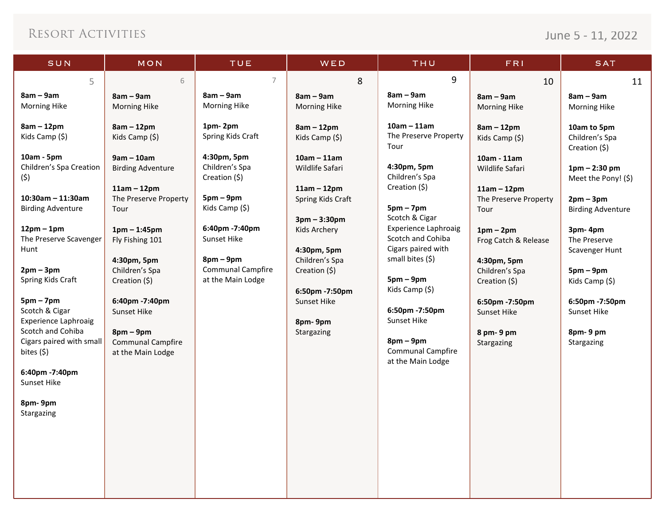## June 5 - 11, 2022

| SUN                                                                   | MON                                                                                | TUE                                                         | WED                                                                    | THU                                                          | <b>FRI</b>                                                               | <b>SAT</b>                                         |
|-----------------------------------------------------------------------|------------------------------------------------------------------------------------|-------------------------------------------------------------|------------------------------------------------------------------------|--------------------------------------------------------------|--------------------------------------------------------------------------|----------------------------------------------------|
| 5                                                                     | 6                                                                                  | $\overline{7}$                                              | 8                                                                      | 9                                                            | 10                                                                       | 11                                                 |
| $8am - 9am$<br><b>Morning Hike</b><br>$8am - 12pm$                    | $8am - 9am$<br><b>Morning Hike</b><br>$8am - 12pm$                                 | $8am - 9am$<br>Morning Hike<br>1pm-2pm                      | $8am - 9am$<br>Morning Hike<br>$8am - 12pm$                            | $8am - 9am$<br><b>Morning Hike</b><br>$10am - 11am$          | $8am - 9am$<br>Morning Hike<br>$8am - 12pm$                              | $8am - 9am$<br><b>Morning Hike</b><br>10am to 5pm  |
| Kids Camp (\$)                                                        | Kids Camp (\$)                                                                     | Spring Kids Craft                                           | Kids Camp (\$)                                                         | The Preserve Property<br>Tour                                | Kids Camp (\$)                                                           | Children's Spa<br>Creation (\$)                    |
| 10am - 5pm<br>Children's Spa Creation<br>(\$)<br>$10:30$ am - 11:30am | $9am - 10am$<br><b>Birding Adventure</b><br>$11am - 12pm$<br>The Preserve Property | 4:30pm, 5pm<br>Children's Spa<br>Creation (\$)<br>$5pm-9pm$ | $10am - 11am$<br>Wildlife Safari<br>$11am - 12pm$<br>Spring Kids Craft | 4:30pm, 5pm<br>Children's Spa<br>Creation (\$)               | 10am - 11am<br>Wildlife Safari<br>$11am - 12pm$<br>The Preserve Property | $1pm - 2:30pm$<br>Meet the Pony! (\$)<br>$2pm-3pm$ |
| <b>Birding Adventure</b><br>$12pm-1pm$                                | Tour<br>$1pm - 1:45pm$                                                             | Kids Camp (\$)<br>6:40pm -7:40pm                            | $3pm - 3:30pm$<br>Kids Archery                                         | $5pm - 7pm$<br>Scotch & Cigar<br><b>Experience Laphroaig</b> | Tour<br>$1pm-2pm$                                                        | <b>Birding Adventure</b><br>3pm-4pm                |
| The Preserve Scavenger<br>Hunt                                        | Fly Fishing 101<br>4:30pm, 5pm                                                     | Sunset Hike<br>$8pm-9pm$                                    | 4:30pm, 5pm<br>Children's Spa                                          | Scotch and Cohiba<br>Cigars paired with<br>small bites (\$)  | Frog Catch & Release<br>4:30pm, 5pm                                      | The Preserve<br>Scavenger Hunt                     |
| $2pm - 3pm$<br>Spring Kids Craft                                      | Children's Spa<br>Creation (\$)                                                    | <b>Communal Campfire</b><br>at the Main Lodge               | Creation (\$)<br>6:50pm -7:50pm                                        | $5pm-9pm$<br>Kids Camp (\$)                                  | Children's Spa<br>Creation (\$)                                          | $5pm-9pm$<br>Kids Camp $(5)$                       |
| $5pm - 7pm$<br>Scotch & Cigar<br><b>Experience Laphroaig</b>          | 6:40pm -7:40pm<br>Sunset Hike                                                      |                                                             | Sunset Hike<br>8pm-9pm                                                 | 6:50pm -7:50pm<br>Sunset Hike                                | 6:50pm -7:50pm<br>Sunset Hike                                            | 6:50pm -7:50pm<br>Sunset Hike                      |
| Scotch and Cohiba<br>Cigars paired with small<br>bites $(5)$          | $8pm-9pm$<br><b>Communal Campfire</b><br>at the Main Lodge                         |                                                             | Stargazing                                                             | $8pm-9pm$<br><b>Communal Campfire</b><br>at the Main Lodge   | 8 pm-9 pm<br>Stargazing                                                  | 8pm-9pm<br>Stargazing                              |
| 6:40pm -7:40pm<br>Sunset Hike                                         |                                                                                    |                                                             |                                                                        |                                                              |                                                                          |                                                    |
| 8pm-9pm<br>Stargazing                                                 |                                                                                    |                                                             |                                                                        |                                                              |                                                                          |                                                    |
|                                                                       |                                                                                    |                                                             |                                                                        |                                                              |                                                                          |                                                    |
|                                                                       |                                                                                    |                                                             |                                                                        |                                                              |                                                                          |                                                    |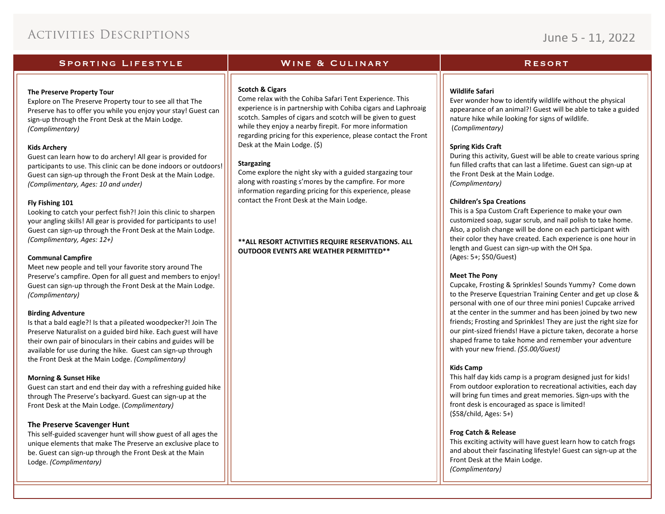## June 5 - 11, 2022

### **SPORTING LIFESTYLE**

#### **The Preserve Property Tour**

Explore on The Preserve Property tour to see all that The Preserve has to offer you while you enjoy your stay! Guest can sign-up through the Front Desk at the Main Lodge. *(Complimentary)*

### **Kids Archery**

Guest can learn how to do archery! All gear is provided for participants to use. This clinic can be done indoors or outdoors! Guest can sign-up through the Front Desk at the Main Lodge. *(Complimentary, Ages: 10 and under)*

### **Fly Fishing 101**

Looking to catch your perfect fish?! Join this clinic to sharpen your angling skills! All gear is provided for participants to use! Guest can sign-up through the Front Desk at the Main Lodge. *(Complimentary, Ages: 12+)*

#### **Communal Campfire**

Meet new people and tell your favorite story around The Preserve's campfire. Open for all guest and members to enjoy! Guest can sign-up through the Front Desk at the Main Lodge. *(Complimentary)*

### **Birding Adventure**

Is that a bald eagle?! Is that a pileated woodpecker?! Join The Preserve Naturalist on a guided bird hike. Each guest will have their own pair of binoculars in their cabins and guides will be available for use during the hike. Guest can sign-up through the Front Desk at the Main Lodge. *(Complimentary)*

#### **Morning & Sunset Hike**

Guest can start and end their day with a refreshing guided hike through The Preserve's backyard. Guest can sign-up at the Front Desk at the Main Lodge. (*Complimentary)*

### **The Preserve Scavenger Hunt**

This self-guided scavenger hunt will show guest of all ages the unique elements that make The Preserve an exclusive place to be. Guest can sign-up through the Front Desk at the Main Lodge. *(Complimentary)*

### **Scotch & Cigars**

Come relax with the Cohiba Safari Tent Experience. This experience is in partnership with Cohiba cigars and Laphroaig scotch. Samples of cigars and scotch will be given to guest while they enjoy a nearby firepit. For more information regarding pricing for this experience, please contact the Front Desk at the Main Lodge. (\$)

**WINE & CULINARY** 

#### **Stargazing**

Come explore the night sky with a guided stargazing tour along with roasting s'mores by the campfire. For more information regarding pricing for this experience, please contact the Front Desk at the Main Lodge.

### **\*\*ALL RESORT ACTIVITIES REQUIRE RESERVATIONS. ALL OUTDOOR EVENTS ARE WEATHER PERMITTED\*\***

### **RESORT**

### **Wildlife Safari**

Ever wonder how to identify wildlife without the physical appearance of an animal?! Guest will be able to take a guided nature hike while looking for signs of wildlife. (*Complimentary)*

### **Spring Kids Craft**

During this activity, Guest will be able to create various spring fun filled crafts that can last a lifetime. Guest can sign-up at the Front Desk at the Main Lodge. *(Complimentary)*

### **Children's Spa Creations**

This is a Spa Custom Craft Experience to make your own customized soap, sugar scrub, and nail polish to take home. Also, a polish change will be done on each participant with their color they have created. Each experience is one hour in length and Guest can sign-up with the OH Spa. (Ages: 5+; \$50/Guest)

### **Meet The Pony**

Cupcake, Frosting & Sprinkles! Sounds Yummy? Come down to the Preserve Equestrian Training Center and get up close & personal with one of our three mini ponies! Cupcake arrived at the center in the summer and has been joined by two new friends; Frosting and Sprinkles! They are just the right size for our pint-sized friends! Have a picture taken, decorate a horse shaped frame to take home and remember your adventure with your new friend. *(\$5.00/Guest)*

### **Kids Camp**

This half day kids camp is a program designed just for kids! From outdoor exploration to recreational activities, each day will bring fun times and great memories. Sign-ups with the front desk is encouraged as space is limited! (\$58/child, Ages: 5+)

### **Frog Catch & Release**

This exciting activity will have guest learn how to catch frogs and about their fascinating lifestyle! Guest can sign-up at the Front Desk at the Main Lodge. *(Complimentary)*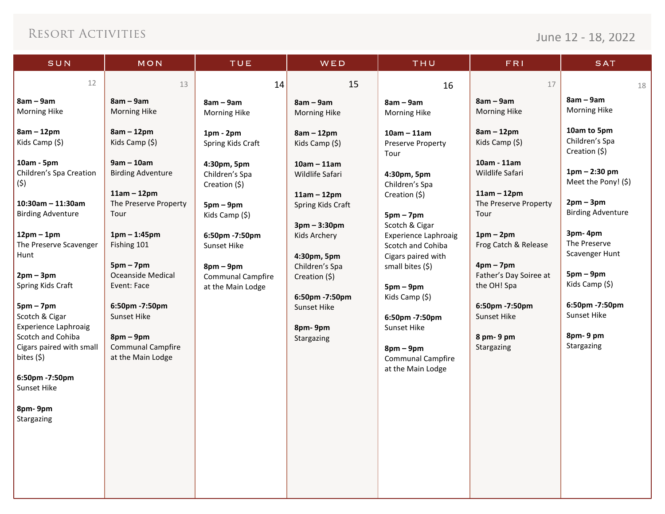# June 12 - 18, 2022

| SUN                                                                                                                                                                                                                                                                                                                                                                                                              | MON                                                                                                                                                                                                                                                                                                                    | TUE                                                                                                                                                                                                              | WED                                                                                                                                                                                                                                                    | THU                                                                                                                                                                                                                                                                                                                                                              | <b>FRI</b>                                                                                                                                                                                                                                                                  | <b>SAT</b>                                                                                                                                                                                                                                                             |
|------------------------------------------------------------------------------------------------------------------------------------------------------------------------------------------------------------------------------------------------------------------------------------------------------------------------------------------------------------------------------------------------------------------|------------------------------------------------------------------------------------------------------------------------------------------------------------------------------------------------------------------------------------------------------------------------------------------------------------------------|------------------------------------------------------------------------------------------------------------------------------------------------------------------------------------------------------------------|--------------------------------------------------------------------------------------------------------------------------------------------------------------------------------------------------------------------------------------------------------|------------------------------------------------------------------------------------------------------------------------------------------------------------------------------------------------------------------------------------------------------------------------------------------------------------------------------------------------------------------|-----------------------------------------------------------------------------------------------------------------------------------------------------------------------------------------------------------------------------------------------------------------------------|------------------------------------------------------------------------------------------------------------------------------------------------------------------------------------------------------------------------------------------------------------------------|
| 12                                                                                                                                                                                                                                                                                                                                                                                                               | 13                                                                                                                                                                                                                                                                                                                     | 14                                                                                                                                                                                                               | 15                                                                                                                                                                                                                                                     | 16                                                                                                                                                                                                                                                                                                                                                               | 17                                                                                                                                                                                                                                                                          | 18                                                                                                                                                                                                                                                                     |
| $8am - 9am$<br>Morning Hike                                                                                                                                                                                                                                                                                                                                                                                      | $8am - 9am$<br><b>Morning Hike</b>                                                                                                                                                                                                                                                                                     | $8am - 9am$<br><b>Morning Hike</b>                                                                                                                                                                               | $8am - 9am$<br><b>Morning Hike</b>                                                                                                                                                                                                                     | $8am - 9am$<br><b>Morning Hike</b>                                                                                                                                                                                                                                                                                                                               | $8am - 9am$<br><b>Morning Hike</b>                                                                                                                                                                                                                                          | $8am - 9am$<br>Morning Hike                                                                                                                                                                                                                                            |
| $8am - 12pm$<br>Kids Camp (\$)<br>10am - 5pm<br>Children's Spa Creation<br>(\$)<br>$10:30$ am - 11:30am<br><b>Birding Adventure</b><br>$12pm - 1pm$<br>The Preserve Scavenger<br>Hunt<br>$2pm-3pm$<br>Spring Kids Craft<br>$5pm - 7pm$<br>Scotch & Cigar<br><b>Experience Laphroaig</b><br>Scotch and Cohiba<br>Cigars paired with small<br>bites (\$)<br>6:50pm -7:50pm<br>Sunset Hike<br>8pm-9pm<br>Stargazing | $8am - 12pm$<br>Kids Camp (\$)<br>$9am - 10am$<br><b>Birding Adventure</b><br>$11am - 12pm$<br>The Preserve Property<br>Tour<br>$1pm - 1:45pm$<br>Fishing 101<br>$5pm - 7pm$<br><b>Oceanside Medical</b><br>Event: Face<br>6:50pm -7:50pm<br>Sunset Hike<br>$8pm-9pm$<br><b>Communal Campfire</b><br>at the Main Lodge | $1pm - 2pm$<br>Spring Kids Craft<br>4:30pm, 5pm<br>Children's Spa<br>Creation (\$)<br>$5pm-9pm$<br>Kids Camp (\$)<br>6:50pm -7:50pm<br>Sunset Hike<br>$8pm-9pm$<br><b>Communal Campfire</b><br>at the Main Lodge | $8am - 12pm$<br>Kids Camp (\$)<br>$10am - 11am$<br>Wildlife Safari<br>$11am - 12pm$<br>Spring Kids Craft<br>$3pm - 3:30pm$<br>Kids Archery<br>4:30pm, 5pm<br>Children's Spa<br>Creation (\$)<br>6:50pm -7:50pm<br>Sunset Hike<br>8pm-9pm<br>Stargazing | $10am - 11am$<br><b>Preserve Property</b><br>Tour<br>4:30pm, 5pm<br>Children's Spa<br>Creation (\$)<br>$5pm - 7pm$<br>Scotch & Cigar<br><b>Experience Laphroaig</b><br>Scotch and Cohiba<br>Cigars paired with<br>small bites (\$)<br>$5pm-9pm$<br>Kids Camp (\$)<br>6:50pm -7:50pm<br>Sunset Hike<br>$8pm-9pm$<br><b>Communal Campfire</b><br>at the Main Lodge | $8am - 12pm$<br>Kids Camp (\$)<br>10am - 11am<br>Wildlife Safari<br>$11am - 12pm$<br>The Preserve Property<br>Tour<br>$1pm-2pm$<br>Frog Catch & Release<br>$4pm - 7pm$<br>Father's Day Soiree at<br>the OH! Spa<br>6:50pm -7:50pm<br>Sunset Hike<br>8 pm-9 pm<br>Stargazing | 10am to 5pm<br>Children's Spa<br>Creation (\$)<br>$1pm - 2:30pm$<br>Meet the Pony! (\$)<br>$2pm-3pm$<br><b>Birding Adventure</b><br>3pm-4pm<br>The Preserve<br>Scavenger Hunt<br>$5pm-9pm$<br>Kids Camp (\$)<br>6:50pm -7:50pm<br>Sunset Hike<br>8pm-9pm<br>Stargazing |
|                                                                                                                                                                                                                                                                                                                                                                                                                  |                                                                                                                                                                                                                                                                                                                        |                                                                                                                                                                                                                  |                                                                                                                                                                                                                                                        |                                                                                                                                                                                                                                                                                                                                                                  |                                                                                                                                                                                                                                                                             |                                                                                                                                                                                                                                                                        |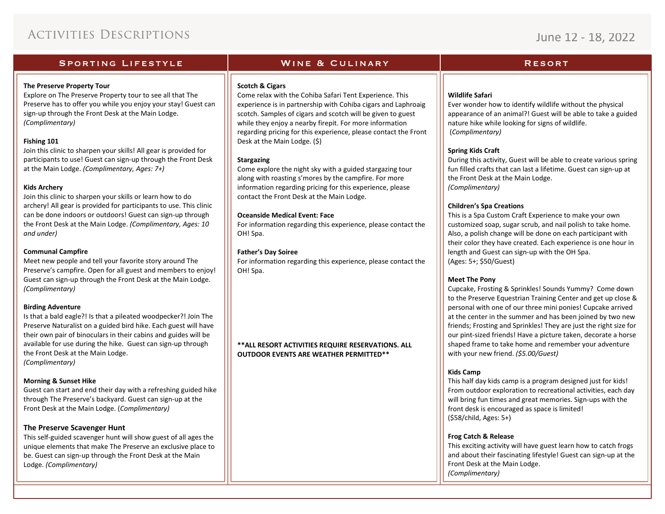## June 12 - 18, 2022

### **SPORTING LIFESTYLE**

### **The Preserve Property Tour**

Explore on The Preserve Property tour to see all that The Preserve has to offer you while you enjoy your stay! Guest can sign-up through the Front Desk at the Main Lodge. *(Complimentary)*

### **Fishing 101**

Join this clinic to sharpen your skills! All gear is provided for participants to use! Guest can sign-up through the Front Desk at the Main Lodge. *(Complimentary, Ages: 7+)*

### **Kids Archery**

Join this clinic to sharpen your skills or learn how to do archery! All gear is provided for participants to use. This clinic can be done indoors or outdoors! Guest can sign-up through the Front Desk at the Main Lodge. *(Complimentary, Ages: 10 and under)*

### **Communal Campfire**

Meet new people and tell your favorite story around The Preserve's campfire. Open for all guest and members to enjoy! Guest can sign-up through the Front Desk at the Main Lodge. *(Complimentary)*

### **Birding Adventure**

Is that a bald eagle?! Is that a pileated woodpecker?! Join The Preserve Naturalist on a guided bird hike. Each guest will have their own pair of binoculars in their cabins and guides will be available for use during the hike. Guest can sign-up through the Front Desk at the Main Lodge. *(Complimentary)*

### **Morning & Sunset Hike**

Guest can start and end their day with a refreshing guided hike through The Preserve's backyard. Guest can sign-up at the Front Desk at the Main Lodge. (*Complimentary)*

### **The Preserve Scavenger Hunt**

This self-guided scavenger hunt will show guest of all ages the unique elements that make The Preserve an exclusive place to be. Guest can sign-up through the Front Desk at the Main Lodge. *(Complimentary)*

### **Scotch & Cigars**

Come relax with the Cohiba Safari Tent Experience. This experience is in partnership with Cohiba cigars and Laphroaig scotch. Samples of cigars and scotch will be given to guest while they enjoy a nearby firepit. For more information regarding pricing for this experience, please contact the Front Desk at the Main Lodge. (\$)

**WINE & CULINARY** 

### **Stargazing**

Come explore the night sky with a guided stargazing tour along with roasting s'mores by the campfire. For more information regarding pricing for this experience, please contact the Front Desk at the Main Lodge.

### **Oceanside Medical Event: Face**

For information regarding this experience, please contact the OH! Spa.

### **Father's Day Soiree**

For information regarding this experience, please contact the OH! Spa.

**\*\*ALL RESORT ACTIVITIES REQUIRE RESERVATIONS. ALL OUTDOOR EVENTS ARE WEATHER PERMITTED\*\***

### **RESORT**

### **Wildlife Safari**

Ever wonder how to identify wildlife without the physical appearance of an animal?! Guest will be able to take a guided nature hike while looking for signs of wildlife. (*Complimentary)*

### **Spring Kids Craft**

During this activity, Guest will be able to create various spring fun filled crafts that can last a lifetime. Guest can sign-up at the Front Desk at the Main Lodge. *(Complimentary)*

### **Children's Spa Creations**

This is a Spa Custom Craft Experience to make your own customized soap, sugar scrub, and nail polish to take home. Also, a polish change will be done on each participant with their color they have created. Each experience is one hour in length and Guest can sign-up with the OH Spa. (Ages: 5+; \$50/Guest)

### **Meet The Pony**

Cupcake, Frosting & Sprinkles! Sounds Yummy? Come down to the Preserve Equestrian Training Center and get up close & personal with one of our three mini ponies! Cupcake arrived at the center in the summer and has been joined by two new friends; Frosting and Sprinkles! They are just the right size for our pint-sized friends! Have a picture taken, decorate a horse shaped frame to take home and remember your adventure with your new friend. *(\$5.00/Guest)*

### **Kids Camp**

This half day kids camp is a program designed just for kids! From outdoor exploration to recreational activities, each day will bring fun times and great memories. Sign-ups with the front desk is encouraged as space is limited! (\$58/child, Ages: 5+)

### **Frog Catch & Release**

This exciting activity will have guest learn how to catch frogs and about their fascinating lifestyle! Guest can sign-up at the Front Desk at the Main Lodge. *(Complimentary)*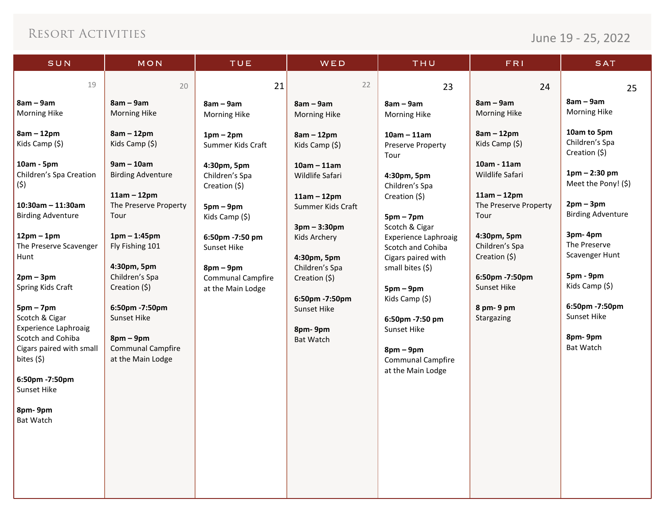June 19 - 25, 2022

| SUN                                           | MON                                    | TUE                                           | W E D                              | THU                                           | FRI                                    | <b>SAT</b>                      |
|-----------------------------------------------|----------------------------------------|-----------------------------------------------|------------------------------------|-----------------------------------------------|----------------------------------------|---------------------------------|
| 19                                            | 20                                     | 21                                            | 22                                 | 23                                            | 24                                     | 25                              |
| $8am - 9am$                                   | $8am - 9am$                            | $8am - 9am$                                   | $8am - 9am$                        | $8am - 9am$                                   | $8am - 9am$                            | $8am - 9am$                     |
| Morning Hike                                  | Morning Hike                           | Morning Hike                                  | Morning Hike                       | Morning Hike                                  | Morning Hike                           | <b>Morning Hike</b>             |
| $8am - 12pm$                                  | $8am - 12pm$                           | $1pm-2pm$                                     | $8am - 12pm$                       | $10am - 11am$                                 | $8am - 12pm$                           | 10am to 5pm                     |
| Kids Camp (\$)                                | Kids Camp (\$)                         | Summer Kids Craft                             | Kids Camp (\$)                     | <b>Preserve Property</b><br>Tour              | Kids Camp (\$)                         | Children's Spa<br>Creation (\$) |
| 10am - 5pm                                    | $9am - 10am$                           | 4:30pm, 5pm                                   | $10am - 11am$                      |                                               | 10am - 11am                            | $1pm - 2:30pm$                  |
| Children's Spa Creation<br>(5)                | <b>Birding Adventure</b>               | Children's Spa<br>Creation (\$)               | Wildlife Safari                    | 4:30pm, 5pm<br>Children's Spa                 | Wildlife Safari                        | Meet the Pony! (\$)             |
| $10:30$ am - 11:30am                          | $11am - 12pm$<br>The Preserve Property |                                               | $11am - 12pm$<br>Summer Kids Craft | Creation (\$)                                 | $11am - 12pm$<br>The Preserve Property | $2pm-3pm$                       |
| <b>Birding Adventure</b>                      | Tour                                   | $5pm-9pm$<br>Kids Camp (\$)                   |                                    | $5pm - 7pm$                                   | Tour                                   | <b>Birding Adventure</b>        |
| $12pm - 1pm$                                  | $1pm - 1:45pm$                         | 6:50pm -7:50 pm                               | $3pm - 3:30pm$<br>Kids Archery     | Scotch & Cigar<br><b>Experience Laphroaig</b> | 4:30pm, 5pm                            | 3pm-4pm                         |
| The Preserve Scavenger                        | Fly Fishing 101                        | Sunset Hike                                   |                                    | Scotch and Cohiba                             | Children's Spa                         | The Preserve<br>Scavenger Hunt  |
| Hunt                                          | 4:30pm, 5pm                            | $8pm-9pm$                                     | 4:30pm, 5pm<br>Children's Spa      | Cigars paired with<br>small bites (\$)        | Creation (\$)                          |                                 |
| $2pm-3pm$<br>Spring Kids Craft                | Children's Spa<br>Creation (\$)        | <b>Communal Campfire</b><br>at the Main Lodge | Creation (\$)                      | $5pm-9pm$                                     | 6:50pm -7:50pm<br><b>Sunset Hike</b>   | 5pm - 9pm<br>Kids Camp (\$)     |
|                                               |                                        |                                               | 6:50pm -7:50pm                     | Kids Camp (\$)                                |                                        |                                 |
| $5pm - 7pm$<br>Scotch & Cigar                 | 6:50pm -7:50pm<br>Sunset Hike          |                                               | Sunset Hike                        | 6:50pm -7:50 pm                               | 8 pm-9 pm<br>Stargazing                | 6:50pm -7:50pm<br>Sunset Hike   |
| <b>Experience Laphroaig</b>                   |                                        |                                               | 8pm-9pm                            | Sunset Hike                                   |                                        | 8pm-9pm                         |
| Scotch and Cohiba<br>Cigars paired with small | $8$ pm – $9$ pm<br>Communal Campfire   |                                               | Bat Watch                          | $8pm-9pm$                                     |                                        | Bat Watch                       |
| bites (\$)                                    | at the Main Lodge                      |                                               |                                    | <b>Communal Campfire</b><br>at the Main Lodge |                                        |                                 |
| 6:50pm -7:50pm                                |                                        |                                               |                                    |                                               |                                        |                                 |
| Sunset Hike                                   |                                        |                                               |                                    |                                               |                                        |                                 |
| 8pm-9pm<br><b>Bat Watch</b>                   |                                        |                                               |                                    |                                               |                                        |                                 |
|                                               |                                        |                                               |                                    |                                               |                                        |                                 |
|                                               |                                        |                                               |                                    |                                               |                                        |                                 |
|                                               |                                        |                                               |                                    |                                               |                                        |                                 |
|                                               |                                        |                                               |                                    |                                               |                                        |                                 |
|                                               |                                        |                                               |                                    |                                               |                                        |                                 |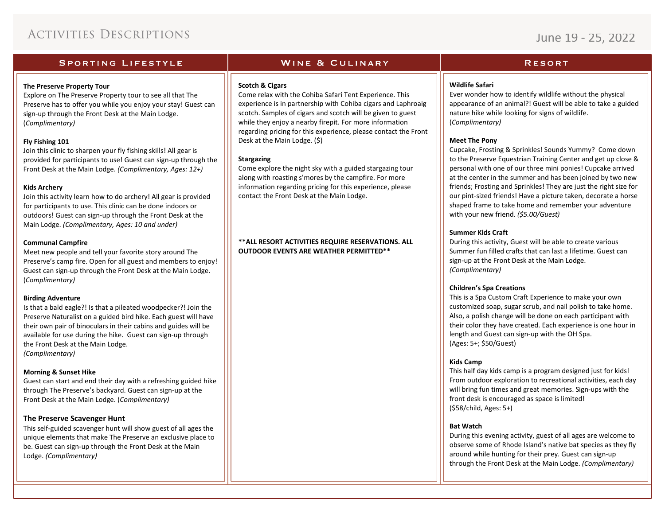## June 19 - 25, 2022

### **SPORTING LIFESTYLE**

### **The Preserve Property Tour**

Explore on The Preserve Property tour to see all that The Preserve has to offer you while you enjoy your stay! Guest can sign-up through the Front Desk at the Main Lodge. (*Complimentary)*

### **Fly Fishing 101**

Join this clinic to sharpen your fly fishing skills! All gear is provided for participants to use! Guest can sign-up through the Front Desk at the Main Lodge. *(Complimentary, Ages: 12+)*

### **Kids Archery**

Join this activity learn how to do archery! All gear is provided for participants to use. This clinic can be done indoors or outdoors! Guest can sign-up through the Front Desk at the Main Lodge. *(Complimentary, Ages: 10 and under)*

### **Communal Campfire**

Meet new people and tell your favorite story around The Preserve's camp fire. Open for all guest and members to enjoy! Guest can sign-up through the Front Desk at the Main Lodge. (*Complimentary)*

### **Birding Adventure**

Is that a bald eagle?! Is that a pileated woodpecker?! Join the Preserve Naturalist on a guided bird hike. Each guest will have their own pair of binoculars in their cabins and guides will be available for use during the hike. Guest can sign-up through the Front Desk at the Main Lodge. *(Complimentary)*

### **Morning & Sunset Hike**

Guest can start and end their day with a refreshing guided hike through The Preserve's backyard. Guest can sign-up at the Front Desk at the Main Lodge. (*Complimentary)*

### **The Preserve Scavenger Hunt**

This self-guided scavenger hunt will show guest of all ages the unique elements that make The Preserve an exclusive place to be. Guest can sign-up through the Front Desk at the Main Lodge. *(Complimentary)*

### **WINE & CULINARY**

### **Scotch & Cigars**

Come relax with the Cohiba Safari Tent Experience. This experience is in partnership with Cohiba cigars and Laphroaig scotch. Samples of cigars and scotch will be given to guest while they enjoy a nearby firepit. For more information regarding pricing for this experience, please contact the Front Desk at the Main Lodge. (\$)

### **Stargazing**

Come explore the night sky with a guided stargazing tour along with roasting s'mores by the campfire. For more information regarding pricing for this experience, please contact the Front Desk at the Main Lodge.

**\*\*ALL RESORT ACTIVITIES REQUIRE RESERVATIONS. ALL OUTDOOR EVENTS ARE WEATHER PERMITTED\*\***

### **RESORT**

### **Wildlife Safari**

Ever wonder how to identify wildlife without the physical appearance of an animal?! Guest will be able to take a guided nature hike while looking for signs of wildlife. (*Complimentary)*

### **Meet The Pony**

Cupcake, Frosting & Sprinkles! Sounds Yummy? Come down to the Preserve Equestrian Training Center and get up close & personal with one of our three mini ponies! Cupcake arrived at the center in the summer and has been joined by two new friends; Frosting and Sprinkles! They are just the right size for our pint-sized friends! Have a picture taken, decorate a horse shaped frame to take home and remember your adventure with your new friend. *(\$5.00/Guest)*

### **Summer Kids Craft**

During this activity, Guest will be able to create various Summer fun filled crafts that can last a lifetime. Guest can sign-up at the Front Desk at the Main Lodge. *(Complimentary)*

### **Children's Spa Creations**

This is a Spa Custom Craft Experience to make your own customized soap, sugar scrub, and nail polish to take home. Also, a polish change will be done on each participant with their color they have created. Each experience is one hour in length and Guest can sign-up with the OH Spa. (Ages: 5+; \$50/Guest)

### **Kids Camp**

This half day kids camp is a program designed just for kids! From outdoor exploration to recreational activities, each day will bring fun times and great memories. Sign-ups with the front desk is encouraged as space is limited! (\$58/child, Ages: 5+)

### **Bat Watch**

During this evening activity, guest of all ages are welcome to observe some of Rhode Island's native bat species as they fly around while hunting for their prey. Guest can sign-up through the Front Desk at the Main Lodge. *(Complimentary)*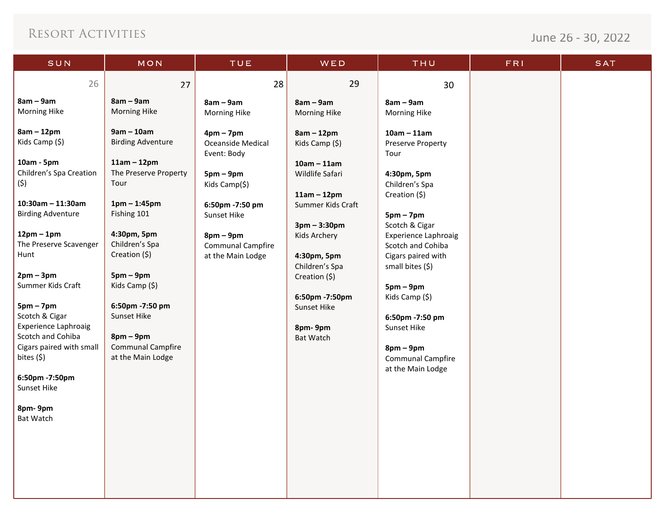| SUN                                              | MON                           | <b>TUE</b>                       | WED                             | THU                                              | <b>FRI</b> | <b>SAT</b> |
|--------------------------------------------------|-------------------------------|----------------------------------|---------------------------------|--------------------------------------------------|------------|------------|
| 26                                               | 27                            | 28                               | 29                              | 30                                               |            |            |
| $8am - 9am$                                      | $8am - 9am$                   | $8am - 9am$                      | $8am - 9am$                     | $8am - 9am$                                      |            |            |
| <b>Morning Hike</b>                              | <b>Morning Hike</b>           | Morning Hike                     | <b>Morning Hike</b>             | <b>Morning Hike</b>                              |            |            |
| $8am - 12pm$                                     | $9am - 10am$                  | $4pm - 7pm$                      | $8am - 12pm$                    | $10am - 11am$                                    |            |            |
| Kids Camp (\$)                                   | <b>Birding Adventure</b>      | Oceanside Medical<br>Event: Body | Kids Camp (\$)                  | Preserve Property<br>Tour                        |            |            |
| 10am - 5pm                                       | $11am - 12pm$                 |                                  | $10am - 11am$                   |                                                  |            |            |
| Children's Spa Creation<br>(\$)                  | The Preserve Property<br>Tour | $5pm-9pm$<br>Kids Camp(\$)       | Wildlife Safari                 | 4:30pm, 5pm<br>Children's Spa                    |            |            |
|                                                  |                               |                                  | $11am - 12pm$                   | Creation (\$)                                    |            |            |
| $10:30$ am - 11:30am<br><b>Birding Adventure</b> | $1pm - 1:45pm$<br>Fishing 101 | 6:50pm -7:50 pm<br>Sunset Hike   | Summer Kids Craft               | $5pm - 7pm$                                      |            |            |
|                                                  |                               |                                  | $3pm - 3:30pm$                  | Scotch & Cigar                                   |            |            |
| $12pm-1pm$<br>The Preserve Scavenger             | 4:30pm, 5pm<br>Children's Spa | $8pm-9pm$<br>Communal Campfire   | Kids Archery                    | <b>Experience Laphroaig</b><br>Scotch and Cohiba |            |            |
| Hunt                                             | Creation (\$)                 | at the Main Lodge                | 4:30pm, 5pm                     | Cigars paired with                               |            |            |
| $2pm-3pm$                                        | $5pm-9pm$                     |                                  | Children's Spa<br>Creation (\$) | small bites (\$)                                 |            |            |
| Summer Kids Craft                                | Kids Camp (\$)                |                                  |                                 | $5pm-9pm$                                        |            |            |
| $5pm - 7pm$                                      | 6:50pm -7:50 pm               |                                  | 6:50pm -7:50pm<br>Sunset Hike   | Kids Camp (\$)                                   |            |            |
| Scotch & Cigar                                   | Sunset Hike                   |                                  |                                 | 6:50pm -7:50 pm                                  |            |            |
| <b>Experience Laphroaig</b><br>Scotch and Cohiba | $8pm-9pm$                     |                                  | 8pm-9pm<br><b>Bat Watch</b>     | Sunset Hike                                      |            |            |
| Cigars paired with small                         | <b>Communal Campfire</b>      |                                  |                                 | $8pm-9pm$                                        |            |            |
| bites $(5)$                                      | at the Main Lodge             |                                  |                                 | <b>Communal Campfire</b><br>at the Main Lodge    |            |            |
| 6:50pm -7:50pm<br>Sunset Hike                    |                               |                                  |                                 |                                                  |            |            |
|                                                  |                               |                                  |                                 |                                                  |            |            |
| 8pm-9pm<br><b>Bat Watch</b>                      |                               |                                  |                                 |                                                  |            |            |
|                                                  |                               |                                  |                                 |                                                  |            |            |
|                                                  |                               |                                  |                                 |                                                  |            |            |
|                                                  |                               |                                  |                                 |                                                  |            |            |
|                                                  |                               |                                  |                                 |                                                  |            |            |
|                                                  |                               |                                  |                                 |                                                  |            |            |